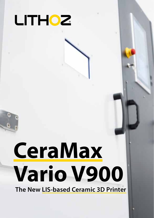

# **CeraMax Vario V900**

**The New LIS-based Ceramic 3D Printer**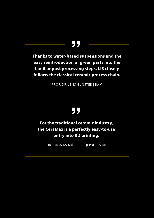# **ࡐ**

**Thanks to water-based suspensions and the easy reintroduction of green parts into the familiar post processing steps, LIS closely follows the classical ceramic process chain.**

PROF. DR. JENS GÜNSTER | BAM

# **ࡐ**

**For the traditional ceramic industry, the CeraMax is a perfectly easy-to-use entry into 3D printing.**

DR. THOMAS MÜHLER | QEP3D GMBH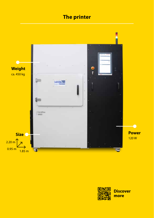## **The printer**



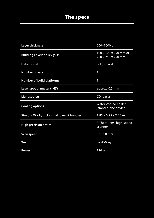## **The specs The specs**

| <b>Layer thickness</b>                         | 200-1000 µm                                             |
|------------------------------------------------|---------------------------------------------------------|
| Building envelope (x / y / z)                  | $100 \times 100 \times 290$ mm or<br>250 x 250 x 290 mm |
| Data format                                    | .stl (binary)                                           |
| <b>Number of vats</b>                          | 1                                                       |
| <b>Number of build platforms</b>               | 1                                                       |
| Laser spot diameter $(1/E2)$                   | approx. 0.5 mm                                          |
| Light source                                   | CO <sub>2</sub> Laser                                   |
| <b>Cooling options</b>                         | Water-cooled chiller<br>(stand-alone device)            |
| Size (L x W x H, incl. signal tower & handles) | $1.85 \times 0.95 \times 2.20$ m                        |
| <b>High precision optics</b>                   | F-Theta-lens; high speed<br>scanner                     |
| Scan speed                                     | up to $8 \text{ m/s}$                                   |
| Weight                                         | ca. 450 kg                                              |
| Power                                          | 120W                                                    |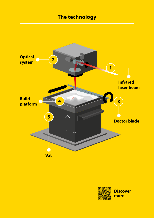## **The technology**



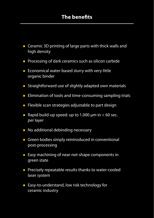- **E** Ceramic 3D printing of large parts with thick walls and high density
- **Processing of dark ceramics such as silicon carbide**
- $\blacksquare$  Economical water-based slurry with very little organic binder
- **E** Straightforward use of slightly adapted own materials
- **Elimination of tools and time-consuming sampling trials**
- $\blacksquare$  Flexible scan strategies adjustable to part design
- Rapid build-up speed: up to 1.000  $\mu$ m in < 60 sec. per layer
- No additional debinding necessary
- Green bodies simply reintroduced in conventional post-processing
- **Easy machining of near-net-shape components in** green state
- **Precisely repeatable results thanks to water-cooled** laser system
- **Easy-to-understand, low risk technology for** ceramic industry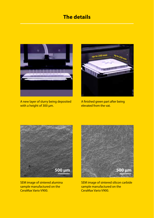## **The details**



A new layer of slurry being deposited with a height of 300 μm.



A finished green part after being elevated from the vat.



SEM image of sintered alumina sample manufactured on the CeraMax Vario V900.



SEM image of sintered silicon carbide sample manufactured on the CeraMax Vario V900.